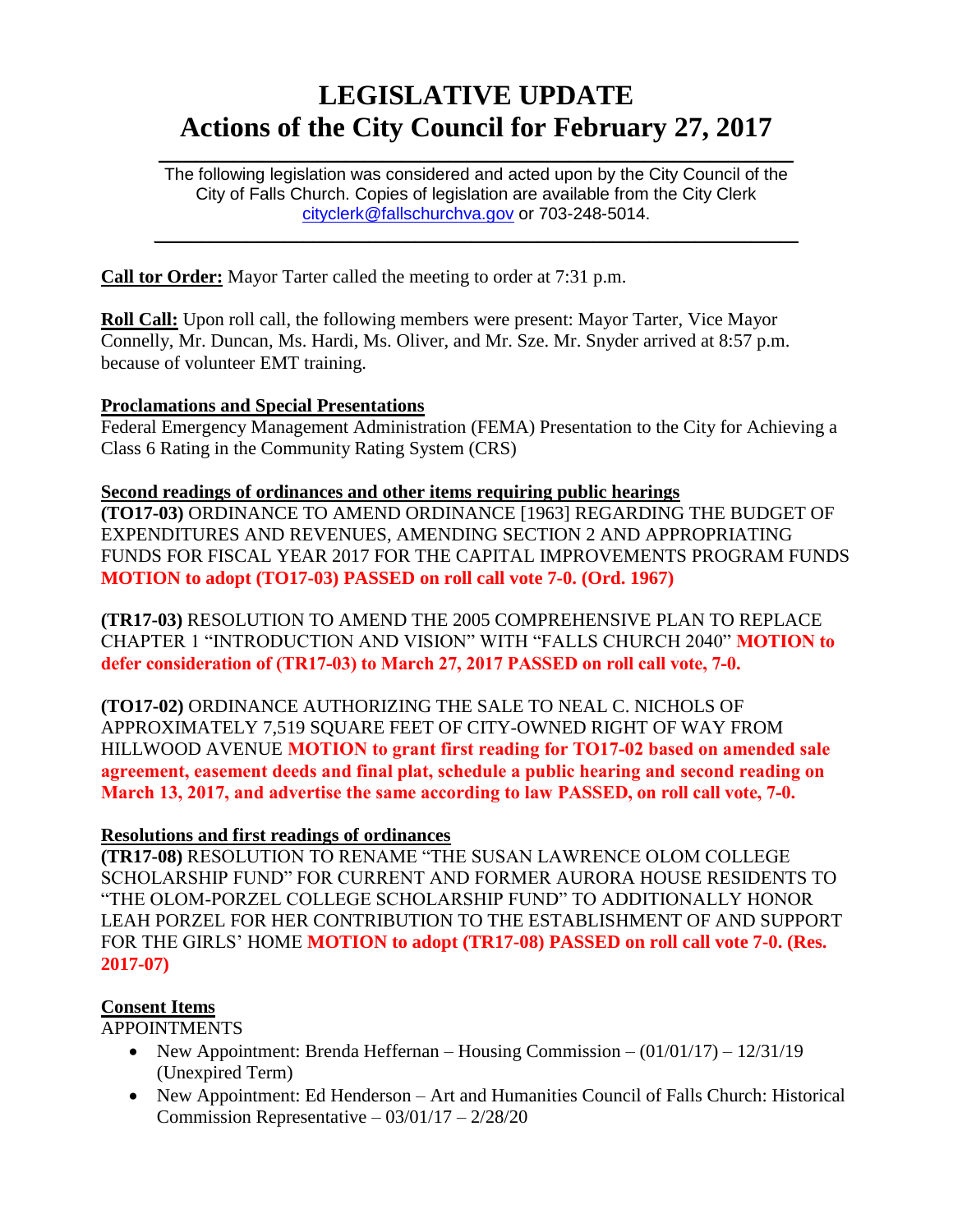# **LEGISLATIVE UPDATE Actions of the City Council for February 27, 2017**

 $\mathcal{L}_\mathcal{L} = \mathcal{L}_\mathcal{L} = \mathcal{L}_\mathcal{L} = \mathcal{L}_\mathcal{L} = \mathcal{L}_\mathcal{L} = \mathcal{L}_\mathcal{L} = \mathcal{L}_\mathcal{L} = \mathcal{L}_\mathcal{L} = \mathcal{L}_\mathcal{L} = \mathcal{L}_\mathcal{L} = \mathcal{L}_\mathcal{L} = \mathcal{L}_\mathcal{L} = \mathcal{L}_\mathcal{L} = \mathcal{L}_\mathcal{L} = \mathcal{L}_\mathcal{L} = \mathcal{L}_\mathcal{L} = \mathcal{L}_\mathcal{L}$ 

The following legislation was considered and acted upon by the City Council of the City of Falls Church. Copies of legislation are available from the City Clerk [cityclerk@fallschurchva.gov](mailto:cityclerk@fallschurchva.gov) or 703-248-5014.

 $\mathcal{L}_\text{max} = \mathcal{L}_\text{max} = \mathcal{L}_\text{max} = \mathcal{L}_\text{max} = \mathcal{L}_\text{max} = \mathcal{L}_\text{max} = \mathcal{L}_\text{max} = \mathcal{L}_\text{max} = \mathcal{L}_\text{max} = \mathcal{L}_\text{max} = \mathcal{L}_\text{max} = \mathcal{L}_\text{max} = \mathcal{L}_\text{max} = \mathcal{L}_\text{max} = \mathcal{L}_\text{max} = \mathcal{L}_\text{max} = \mathcal{L}_\text{max} = \mathcal{L}_\text{max} = \mathcal{$ 

**Call tor Order:** Mayor Tarter called the meeting to order at 7:31 p.m.

**Roll Call:** Upon roll call, the following members were present: Mayor Tarter, Vice Mayor Connelly, Mr. Duncan, Ms. Hardi, Ms. Oliver, and Mr. Sze. Mr. Snyder arrived at 8:57 p.m. because of volunteer EMT training.

#### **Proclamations and Special Presentations**

Federal Emergency Management Administration (FEMA) Presentation to the City for Achieving a Class 6 Rating in the Community Rating System (CRS)

#### **Second readings of ordinances and other items requiring public hearings**

**(TO17-03)** ORDINANCE TO AMEND ORDINANCE [1963] REGARDING THE BUDGET OF EXPENDITURES AND REVENUES, AMENDING SECTION 2 AND APPROPRIATING FUNDS FOR FISCAL YEAR 2017 FOR THE CAPITAL IMPROVEMENTS PROGRAM FUNDS **MOTION to adopt (TO17-03) PASSED on roll call vote 7-0. (Ord. 1967)**

**(TR17-03)** RESOLUTION TO AMEND THE 2005 COMPREHENSIVE PLAN TO REPLACE CHAPTER 1 "INTRODUCTION AND VISION" WITH "FALLS CHURCH 2040" **MOTION to defer consideration of (TR17-03) to March 27, 2017 PASSED on roll call vote, 7-0.**

**(TO17-02)** ORDINANCE AUTHORIZING THE SALE TO NEAL C. NICHOLS OF APPROXIMATELY 7,519 SQUARE FEET OF CITY-OWNED RIGHT OF WAY FROM HILLWOOD AVENUE **MOTION to grant first reading for TO17-02 based on amended sale agreement, easement deeds and final plat, schedule a public hearing and second reading on March 13, 2017, and advertise the same according to law PASSED, on roll call vote, 7-0.**

#### **Resolutions and first readings of ordinances**

**(TR17-08)** RESOLUTION TO RENAME "THE SUSAN LAWRENCE OLOM COLLEGE SCHOLARSHIP FUND" FOR CURRENT AND FORMER AURORA HOUSE RESIDENTS TO "THE OLOM-PORZEL COLLEGE SCHOLARSHIP FUND" TO ADDITIONALLY HONOR LEAH PORZEL FOR HER CONTRIBUTION TO THE ESTABLISHMENT OF AND SUPPORT FOR THE GIRLS' HOME **MOTION to adopt (TR17-08) PASSED on roll call vote 7-0. (Res. 2017-07)**

#### **Consent Items**

APPOINTMENTS

- New Appointment: Brenda Heffernan Housing Commission  $(01/01/17)$   $12/31/19$ (Unexpired Term)
- New Appointment: Ed Henderson Art and Humanities Council of Falls Church: Historical Commission Representative  $-03/01/17 - 2/28/20$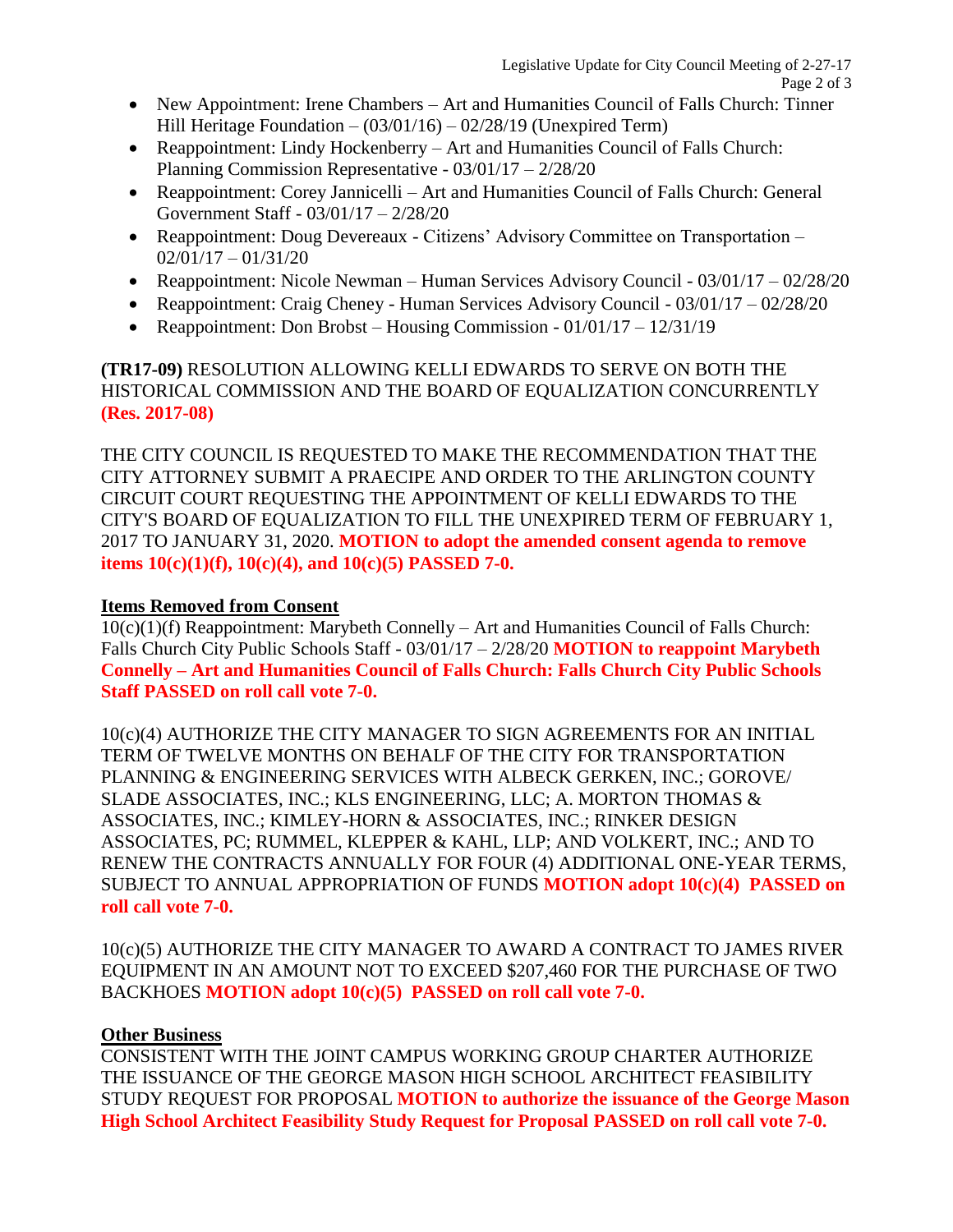- New Appointment: Irene Chambers Art and Humanities Council of Falls Church: Tinner Hill Heritage Foundation – (03/01/16) – 02/28/19 (Unexpired Term)
- Reappointment: Lindy Hockenberry Art and Humanities Council of Falls Church: Planning Commission Representative - 03/01/17 – 2/28/20
- Reappointment: Corey Jannicelli Art and Humanities Council of Falls Church: General Government Staff - 03/01/17 – 2/28/20
- Reappointment: Doug Devereaux Citizens' Advisory Committee on Transportation  $02/01/17 - 01/31/20$
- Reappointment: Nicole Newman Human Services Advisory Council 03/01/17 02/28/20
- Reappointment: Craig Cheney Human Services Advisory Council 03/01/17 02/28/20
- Reappointment: Don Brobst Housing Commission  $01/01/17 12/31/19$

#### **(TR17-09)** RESOLUTION ALLOWING KELLI EDWARDS TO SERVE ON BOTH THE HISTORICAL COMMISSION AND THE BOARD OF EQUALIZATION CONCURRENTLY **(Res. 2017-08)**

THE CITY COUNCIL IS REQUESTED TO MAKE THE RECOMMENDATION THAT THE CITY ATTORNEY SUBMIT A PRAECIPE AND ORDER TO THE ARLINGTON COUNTY CIRCUIT COURT REQUESTING THE APPOINTMENT OF KELLI EDWARDS TO THE CITY'S BOARD OF EQUALIZATION TO FILL THE UNEXPIRED TERM OF FEBRUARY 1, 2017 TO JANUARY 31, 2020. **MOTION to adopt the amended consent agenda to remove items 10(c)(1)(f), 10(c)(4), and 10(c)(5) PASSED 7-0.**

### **Items Removed from Consent**

10(c)(1)(f) Reappointment: Marybeth Connelly – Art and Humanities Council of Falls Church: Falls Church City Public Schools Staff - 03/01/17 – 2/28/20 **MOTION to reappoint Marybeth Connelly – Art and Humanities Council of Falls Church: Falls Church City Public Schools Staff PASSED on roll call vote 7-0.** 

10(c)(4) AUTHORIZE THE CITY MANAGER TO SIGN AGREEMENTS FOR AN INITIAL TERM OF TWELVE MONTHS ON BEHALF OF THE CITY FOR TRANSPORTATION PLANNING & ENGINEERING SERVICES WITH ALBECK GERKEN, INC.; GOROVE/ SLADE ASSOCIATES, INC.; KLS ENGINEERING, LLC; A. MORTON THOMAS & ASSOCIATES, INC.; KIMLEY-HORN & ASSOCIATES, INC.; RINKER DESIGN ASSOCIATES, PC; RUMMEL, KLEPPER & KAHL, LLP; AND VOLKERT, INC.; AND TO RENEW THE CONTRACTS ANNUALLY FOR FOUR (4) ADDITIONAL ONE-YEAR TERMS, SUBJECT TO ANNUAL APPROPRIATION OF FUNDS **MOTION adopt 10(c)(4) PASSED on roll call vote 7-0.**

10(c)(5) AUTHORIZE THE CITY MANAGER TO AWARD A CONTRACT TO JAMES RIVER EQUIPMENT IN AN AMOUNT NOT TO EXCEED \$207,460 FOR THE PURCHASE OF TWO BACKHOES **MOTION adopt 10(c)(5) PASSED on roll call vote 7-0.**

#### **Other Business**

CONSISTENT WITH THE JOINT CAMPUS WORKING GROUP CHARTER AUTHORIZE THE ISSUANCE OF THE GEORGE MASON HIGH SCHOOL ARCHITECT FEASIBILITY STUDY REQUEST FOR PROPOSAL **MOTION to authorize the issuance of the George Mason High School Architect Feasibility Study Request for Proposal PASSED on roll call vote 7-0.**